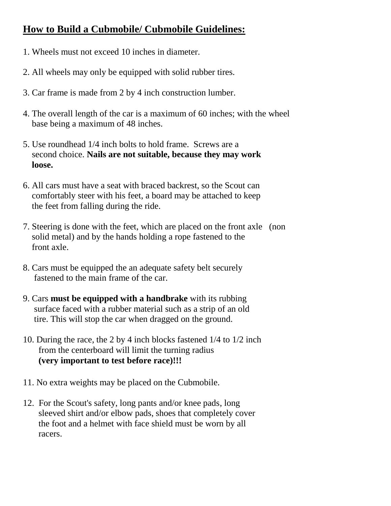## **How to Build a Cubmobile/ Cubmobile Guidelines:**

- 1. Wheels must not exceed 10 inches in diameter.
- 2. All wheels may only be equipped with solid rubber tires.
- 3. Car frame is made from 2 by 4 inch construction lumber.
- 4. The overall length of the car is a maximum of 60 inches; with the wheel base being a maximum of 48 inches.
- 5. Use roundhead 1/4 inch bolts to hold frame. Screws are a second choice. **Nails are not suitable, because they may work loose.**
- 6. All cars must have a seat with braced backrest, so the Scout can comfortably steer with his feet, a board may be attached to keep the feet from falling during the ride.
- 7. Steering is done with the feet, which are placed on the front axle (non solid metal) and by the hands holding a rope fastened to the front axle.
- 8. Cars must be equipped the an adequate safety belt securely fastened to the main frame of the car.
- 9. Cars **must be equipped with a handbrake** with its rubbing surface faced with a rubber material such as a strip of an old tire. This will stop the car when dragged on the ground.
- 10. During the race, the 2 by 4 inch blocks fastened 1/4 to 1/2 inch from the centerboard will limit the turning radius **(very important to test before race)!!!**
- 11. No extra weights may be placed on the Cubmobile.
- 12. For the Scout's safety, long pants and/or knee pads, long sleeved shirt and/or elbow pads, shoes that completely cover the foot and a helmet with face shield must be worn by all racers.